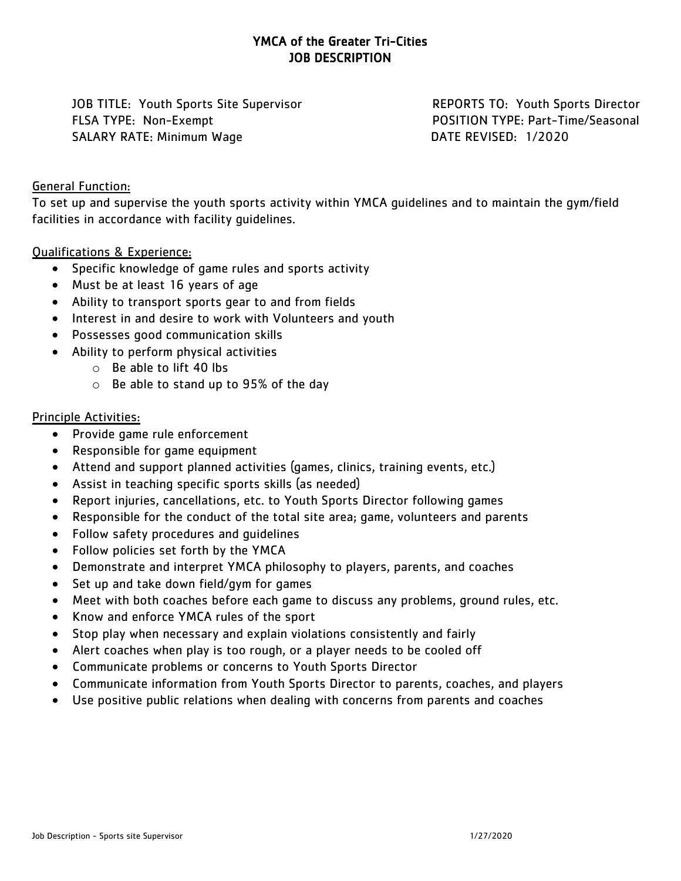# YMCA of the Greater Tri-Cities JOB DESCRIPTION

JOB TITLE: Youth Sports Site Supervisor REPORTS TO: Youth Sports Director FLSA TYPE: Non-Exempt POSITION TYPE: Part-Time/Seasonal SALARY RATE: Minimum Wage DATE REVISED: 1/2020

#### General Function:

To set up and supervise the youth sports activity within YMCA guidelines and to maintain the gym/field facilities in accordance with facility guidelines.

### Qualifications & Experience:

- Specific knowledge of game rules and sports activity
- Must be at least 16 years of age
- Ability to transport sports gear to and from fields
- Interest in and desire to work with Volunteers and youth
- Possesses good communication skills
- Ability to perform physical activities
	- o Be able to lift 40 lbs
	- o Be able to stand up to 95% of the day

### Principle Activities:

- Provide game rule enforcement
- Responsible for game equipment
- Attend and support planned activities (games, clinics, training events, etc.)
- Assist in teaching specific sports skills (as needed)
- Report injuries, cancellations, etc. to Youth Sports Director following games
- Responsible for the conduct of the total site area; game, volunteers and parents
- Follow safety procedures and guidelines
- Follow policies set forth by the YMCA
- Demonstrate and interpret YMCA philosophy to players, parents, and coaches
- Set up and take down field/gym for games
- Meet with both coaches before each game to discuss any problems, ground rules, etc.
- Know and enforce YMCA rules of the sport
- Stop play when necessary and explain violations consistently and fairly
- Alert coaches when play is too rough, or a player needs to be cooled off
- Communicate problems or concerns to Youth Sports Director
- Communicate information from Youth Sports Director to parents, coaches, and players
- Use positive public relations when dealing with concerns from parents and coaches